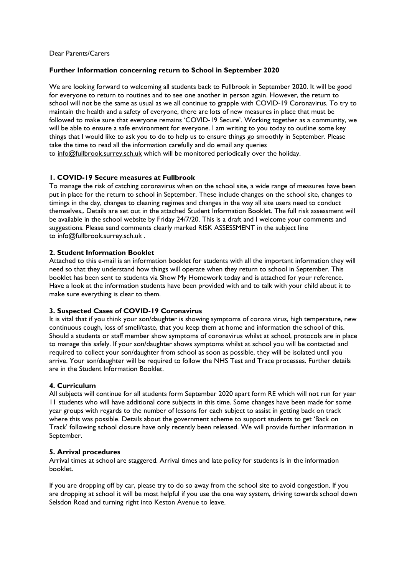## Dear Parents/Carers

### **Further Information concerning return to School in September 2020**

We are looking forward to welcoming all students back to Fullbrook in September 2020. It will be good for everyone to return to routines and to see one another in person again. However, the return to school will not be the same as usual as we all continue to grapple with COVID-19 Coronavirus. To try to maintain the health and a safety of everyone, there are lots of new measures in place that must be followed to make sure that everyone remains 'COVID-19 Secure'. Working together as a community, we will be able to ensure a safe environment for everyone. I am writing to you today to outline some key things that I would like to ask you to do to help us to ensure things go smoothly in September. Please take the time to read all the information carefully and do email any queries to [info@fullbrook.surrey.sch.uk](mailto:info@fullbrook.surrey.sch.uk) which will be monitored periodically over the holiday.

# **1. COVID-19 Secure measures at Fullbrook**

To manage the risk of catching coronavirus when on the school site, a wide range of measures have been put in place for the return to school in September. These include changes on the school site, changes to timings in the day, changes to cleaning regimes and changes in the way all site users need to conduct themselves,. Details are set out in the attached Student Information Booklet. The full risk assessment will be available in the school website by Friday 24/7/20. This is a draft and I welcome your comments and suggestions. Please send comments clearly marked RISK ASSESSMENT in the subject line to [info@fullbrook.surrey.sch.uk](mailto:info@fullbrook.surrey.sch.uk) .

## **2. Student Information Booklet**

Attached to this e-mail is an information booklet for students with all the important information they will need so that they understand how things will operate when they return to school in September. This booklet has been sent to students via Show My Homework today and is attached for your reference. Have a look at the information students have been provided with and to talk with your child about it to make sure everything is clear to them.

### **3. Suspected Cases of COVID-19 Coronavirus**

It is vital that if you think your son/daughter is showing symptoms of corona virus, high temperature, new continuous cough, loss of smell/taste, that you keep them at home and information the school of this. Should a students or staff member show symptoms of coronavirus whilst at school, protocols are in place to manage this safely. If your son/daughter shows symptoms whilst at school you will be contacted and required to collect your son/daughter from school as soon as possible, they will be isolated until you arrive. Your son/daughter will be required to follow the NHS Test and Trace processes. Further details are in the Student Information Booklet.

#### **4. Curriculum**

All subjects will continue for all students form September 2020 apart form RE which will not run for year 11 students who will have additional core subjects in this time. Some changes have been made for some year groups with regards to the number of lessons for each subject to assist in getting back on track where this was possible. Details about the government scheme to support students to get 'Back on Track' following school closure have only recently been released. We will provide further information in September.

#### **5. Arrival procedures**

Arrival times at school are staggered. Arrival times and late policy for students is in the information booklet.

If you are dropping off by car, please try to do so away from the school site to avoid congestion. If you are dropping at school it will be most helpful if you use the one way system, driving towards school down Selsdon Road and turning right into Keston Avenue to leave.